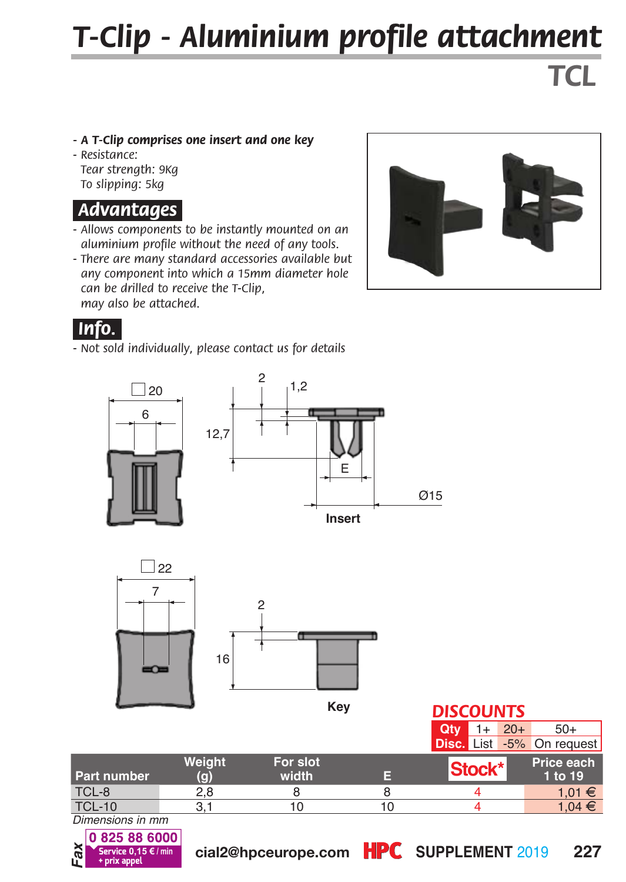# *T-Clip - Aluminium profile attachment*

*TCL*

#### *- A T-Clip comprises one insert and one key*

*- Resistance: Tear strength: 9Kg To slipping: 5kg*

#### *.Advantages.*

- *Allows components to be instantly mounted on an aluminium profile without the need of any tools.*
- *There are many standard accessories available but any component into which a 15mm diameter hole can be drilled to receive the T-Clip, may also be attached.*



#### *.Info..*

*- Not sold individually, please contact us for details*





**Key**

#### *DISCOUNTS*

|                    |        |          |    | <b>Qtv</b><br>$20+$       | $50+$      |
|--------------------|--------|----------|----|---------------------------|------------|
|                    |        |          |    | Disc. List -5% On request |            |
|                    | Weight | For slot |    | Stock*                    | Price each |
| <b>Part number</b> | (g)    | width    | æ  |                           | 1 to 19    |
| TCL-8              | 2.8    |          |    |                           | 1,01 €     |
| <b>TCL-10</b>      | З.     | 10       | 10 |                           | $1.04 \in$ |

*Dimensions in mm*